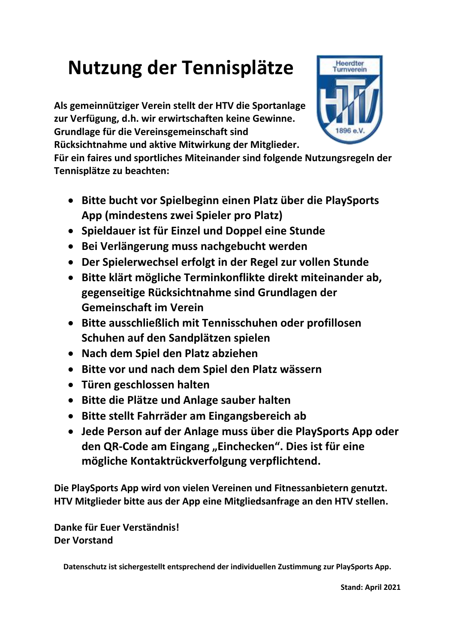## **Nutzung der Tennisplätze**

**Als gemeinnütziger Verein stellt der HTV die Sportanlage zur Verfügung, d.h. wir erwirtschaften keine Gewinne. Grundlage für die Vereinsgemeinschaft sind** 



**Rücksichtnahme und aktive Mitwirkung der Mitglieder.** 

**Für ein faires und sportliches Miteinander sind folgende Nutzungsregeln der Tennisplätze zu beachten:** 

- **Bitte bucht vor Spielbeginn einen Platz über die PlaySports App (mindestens zwei Spieler pro Platz)**
- **Spieldauer ist für Einzel und Doppel eine Stunde**
- **Bei Verlängerung muss nachgebucht werden**
- **Der Spielerwechsel erfolgt in der Regel zur vollen Stunde**
- **Bitte klärt mögliche Terminkonflikte direkt miteinander ab, gegenseitige Rücksichtnahme sind Grundlagen der Gemeinschaft im Verein**
- **Bitte ausschließlich mit Tennisschuhen oder profillosen Schuhen auf den Sandplätzen spielen**
- **Nach dem Spiel den Platz abziehen**
- **Bitte vor und nach dem Spiel den Platz wässern**
- **Türen geschlossen halten**
- **Bitte die Plätze und Anlage sauber halten**
- **Bitte stellt Fahrräder am Eingangsbereich ab**
- **Jede Person auf der Anlage muss über die PlaySports App oder den QR-Code am Eingang "Einchecken". Dies ist für eine mögliche Kontaktrückverfolgung verpflichtend.**

**Die PlaySports App wird von vielen Vereinen und Fitnessanbietern genutzt. HTV Mitglieder bitte aus der App eine Mitgliedsanfrage an den HTV stellen.** 

**Danke für Euer Verständnis! Der Vorstand**

**Datenschutz ist sichergestellt entsprechend der individuellen Zustimmung zur PlaySports App.**